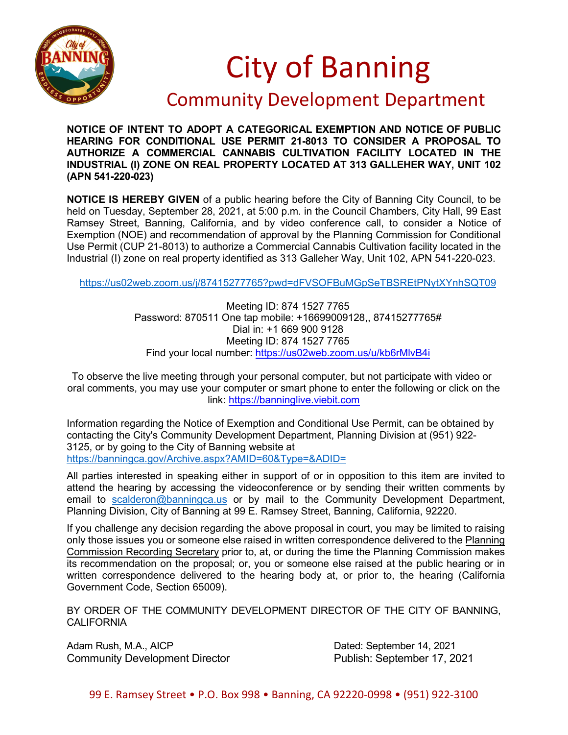

## City of Banning

## Community Development Department

**NOTICE OF INTENT TO ADOPT A CATEGORICAL EXEMPTION AND NOTICE OF PUBLIC HEARING FOR CONDITIONAL USE PERMIT 21-8013 TO CONSIDER A PROPOSAL TO AUTHORIZE A COMMERCIAL CANNABIS CULTIVATION FACILITY LOCATED IN THE INDUSTRIAL (I) ZONE ON REAL PROPERTY LOCATED AT 313 GALLEHER WAY, UNIT 102 (APN 541-220-023)**

**NOTICE IS HEREBY GIVEN** of a public hearing before the City of Banning City Council, to be held on Tuesday, September 28, 2021, at 5:00 p.m. in the Council Chambers, City Hall, 99 East Ramsey Street, Banning, California, and by video conference call, to consider a Notice of Exemption (NOE) and recommendation of approval by the Planning Commission for Conditional Use Permit (CUP 21-8013) to authorize a Commercial Cannabis Cultivation facility located in the Industrial (I) zone on real property identified as 313 Galleher Way, Unit 102, APN 541-220-023.

<https://us02web.zoom.us/j/87415277765?pwd=dFVSOFBuMGpSeTBSREtPNytXYnhSQT09>

Meeting ID: 874 1527 7765 Password: 870511 One tap mobile: +16699009128,, 87415277765# Dial in: +1 669 900 9128 Meeting ID: 874 1527 7765 Find your local number:<https://us02web.zoom.us/u/kb6rMlvB4i>

To observe the live meeting through your personal computer, but not participate with video or oral comments, you may use your computer or smart phone to enter the following or click on the link: [https://banninglive.viebit.com](https://banninglive.viebit.com/)

Information regarding the Notice of Exemption and Conditional Use Permit, can be obtained by contacting the City's Community Development Department, Planning Division at (951) 922- 3125, or by going to the City of Banning website at <https://banningca.gov/Archive.aspx?AMID=60&Type=&ADID=>

All parties interested in speaking either in support of or in opposition to this item are invited to attend the hearing by accessing the videoconference or by sending their written comments by email to [scalderon@banningca.us](mailto:scalderon@banningca.us) or by mail to the Community Development Department, Planning Division, City of Banning at 99 E. Ramsey Street, Banning, California, 92220.

If you challenge any decision regarding the above proposal in court, you may be limited to raising only those issues you or someone else raised in written correspondence delivered to the Planning Commission Recording Secretary prior to, at, or during the time the Planning Commission makes its recommendation on the proposal; or, you or someone else raised at the public hearing or in written correspondence delivered to the hearing body at, or prior to, the hearing (California Government Code, Section 65009).

BY ORDER OF THE COMMUNITY DEVELOPMENT DIRECTOR OF THE CITY OF BANNING, CALIFORNIA

Adam Rush, M.A., AICP Dated: September 14, 2021 Community Development Director **Publish: September 17, 2021**